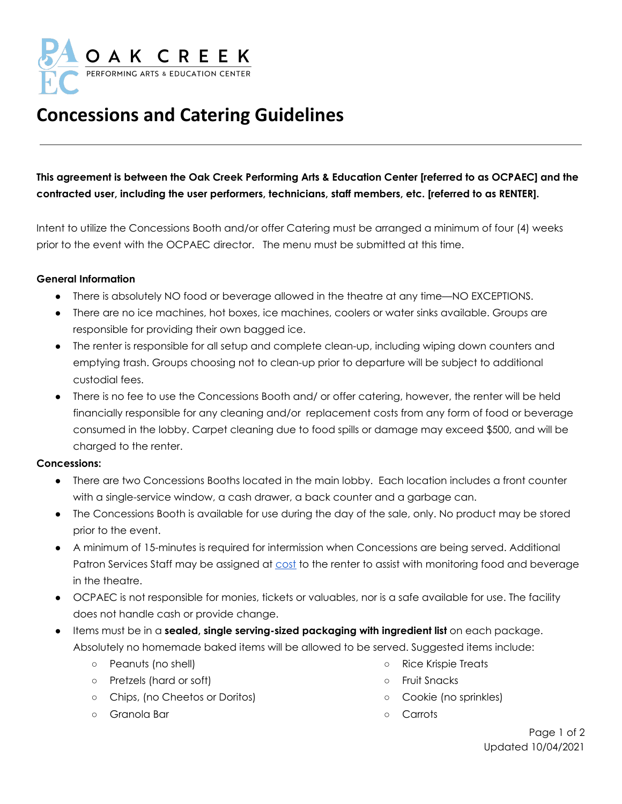

## **Concessions and Catering Guidelines**

### This agreement is between the Oak Creek Performing Arts & Education Center [referred to as OCPAEC] and the **contracted user, including the user performers, technicians, staff members, etc. [referred to as RENTER].**

Intent to utilize the Concessions Booth and/or offer Catering must be arranged a minimum of four (4) weeks prior to the event with the OCPAEC director. The menu must be submitted at this time.

#### **General Information**

- There is absolutely NO food or beverage allowed in the theatre at any time—NO EXCEPTIONS.
- There are no ice machines, hot boxes, ice machines, coolers or water sinks available. Groups are responsible for providing their own bagged ice.
- The renter is responsible for all setup and complete clean-up, including wiping down counters and emptying trash. Groups choosing not to clean-up prior to departure will be subject to additional custodial fees.
- There is no fee to use the Concessions Booth and/ or offer catering, however, the renter will be held financially responsible for any cleaning and/or replacement costs from any form of food or beverage consumed in the lobby. Carpet cleaning due to food spills or damage may exceed \$500, and will be charged to the renter.

#### **Concessions:**

- There are two Concessions Booths located in the main lobby. Each location includes a front counter with a single-service window, a cash drawer, a back counter and a garbage can.
- The Concessions Booth is available for use during the day of the sale, only. No product may be stored prior to the event.
- A minimum of 15-minutes is required for intermission when Concessions are being served. Additional Patron Services Staff may be assigned at [cost](https://docs.google.com/document/u/1/d/1rCbyMrpwN2MrfwhmqNSn-aIIJCPe6zdPhYKLh4WQAu8/edit) to the renter to assist with monitoring food and beverage in the theatre.
- OCPAEC is not responsible for monies, tickets or valuables, nor is a safe available for use. The facility does not handle cash or provide change.
- Items must be in a **sealed, single serving-sized packaging with ingredient list** on each package. Absolutely no homemade baked items will be allowed to be served. Suggested items include:
	- Peanuts (no shell)
	- Pretzels (hard or soft)
	- Chips, (no Cheetos or Doritos)
	- Granola Bar
- Rice Krispie Treats
- Fruit Snacks
- Cookie (no sprinkles)
- Carrots